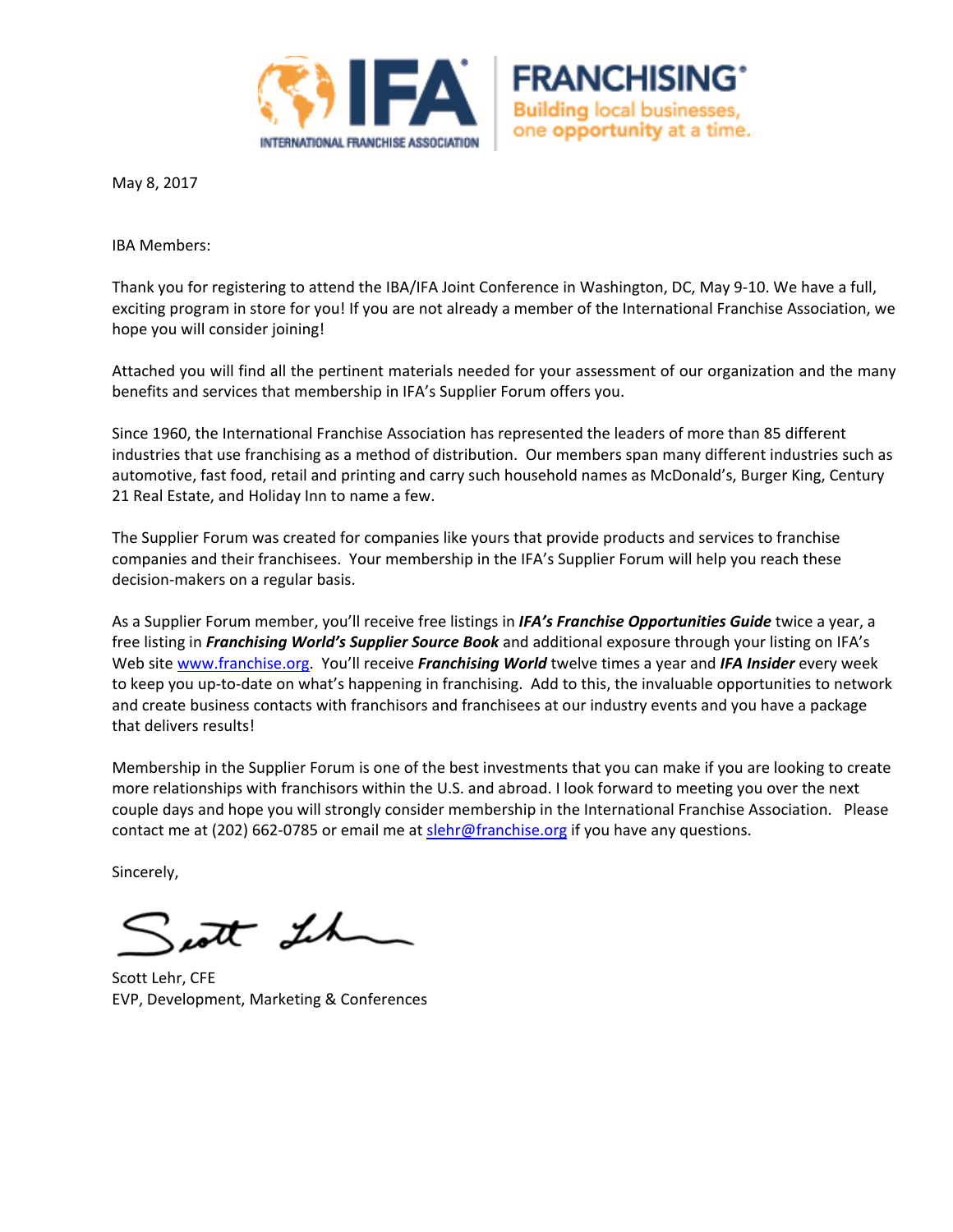



IBA Members:

Thank you for registering to attend the IBA/IFA Joint Conference in Washington, DC, May 9‐10. We have a full, exciting program in store for you! If you are not already a member of the International Franchise Association, we hope you will consider joining!

**FRANCHISING** 

**Building local businesses,** one opportunity at a time.

Attached you will find all the pertinent materials needed for your assessment of our organization and the many benefits and services that membership in IFA's Supplier Forum offers you.

Since 1960, the International Franchise Association has represented the leaders of more than 85 different industries that use franchising as a method of distribution. Our members span many different industries such as automotive, fast food, retail and printing and carry such household names as McDonald's, Burger King, Century 21 Real Estate, and Holiday Inn to name a few.

The Supplier Forum was created for companies like yours that provide products and services to franchise companies and their franchisees. Your membership in the IFA's Supplier Forum will help you reach these decision‐makers on a regular basis.

As a Supplier Forum member, you'll receive free listings in *IFA's Franchise Opportunities Guide* twice a year, a free listing in *Franchising World's Supplier Source Book* and additional exposure through your listing on IFA's Web site www.franchise.org. You'll receive *Franchising World* twelve times a year and *IFA Insider* every week to keep you up‐to‐date on what's happening in franchising. Add to this, the invaluable opportunities to network and create business contacts with franchisors and franchisees at our industry events and you have a package that delivers results!

Membership in the Supplier Forum is one of the best investments that you can make if you are looking to create more relationships with franchisors within the U.S. and abroad. I look forward to meeting you over the next couple days and hope you will strongly consider membership in the International Franchise Association. Please contact me at (202) 662-0785 or email me at slehr@franchise.org if you have any questions.

Sincerely,

sent Lh

Scott Lehr, CFE EVP, Development, Marketing & Conferences